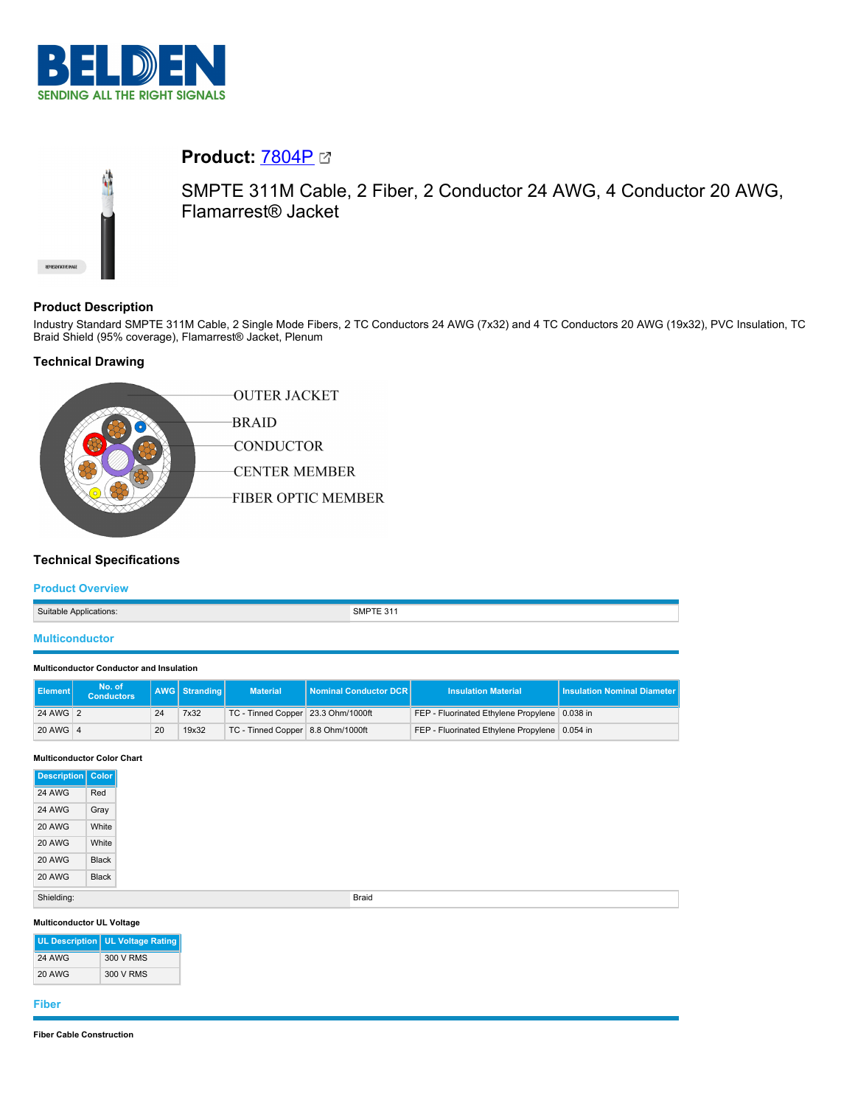



# **Product:** [7804P](https://catalog.belden.com/index.cfm?event=pd&p=PF_7804P&tab=downloads)

SMPTE 311M Cable, 2 Fiber, 2 Conductor 24 AWG, 4 Conductor 20 AWG, Flamarrest® Jacket

## **Product Description**

Industry Standard SMPTE 311M Cable, 2 Single Mode Fibers, 2 TC Conductors 24 AWG (7x32) and 4 TC Conductors 20 AWG (19x32), PVC Insulation, TC Braid Shield (95% coverage), Flamarrest® Jacket, Plenum

## **Technical Drawing**



## **Technical Specifications**

### **Product Overview**

| Suitable Applications: | SMPTE 311 |
|------------------------|-----------|
| <b>Multiconductor</b>  |           |

#### **Multiconductor Conductor and Insulation**

| <b>I</b> Element I | No. of<br><b>Conductors</b> |    | AWG Stranding | <b>Material</b>                    | Nominal Conductor DCR | <b>Insulation Material</b>                    | <b>Insulation Nominal Diameter</b> |
|--------------------|-----------------------------|----|---------------|------------------------------------|-----------------------|-----------------------------------------------|------------------------------------|
| 24 AWG 2           |                             | 24 | 7x32          | TC - Tinned Copper 23.3 Ohm/1000ft |                       | FEP - Fluorinated Ethylene Propylene 0.038 in |                                    |
| 20 AWG 4           |                             | 20 | 19x32         | TC - Tinned Copper 8.8 Ohm/1000ft  |                       | FEP - Fluorinated Ethylene Propylene 0.054 in |                                    |

#### **Multiconductor Color Chart**

| Description Color |       |
|-------------------|-------|
| 24 AWG            | Red   |
| <b>24 AWG</b>     | Gray  |
| <b>20 AWG</b>     | White |
| <b>20 AWG</b>     | White |
| <b>20 AWG</b>     | Black |
| <b>20 AWG</b>     | Black |
| Shielding:        |       |

#### **Multiconductor UL Voltage**

|               | UL Description   UL Voltage Rating |
|---------------|------------------------------------|
| <b>24 AWG</b> | 300 V RMS                          |
| <b>20 AWG</b> | 300 V RMS                          |

#### **Fiber**

#### **Fiber Cable Construction**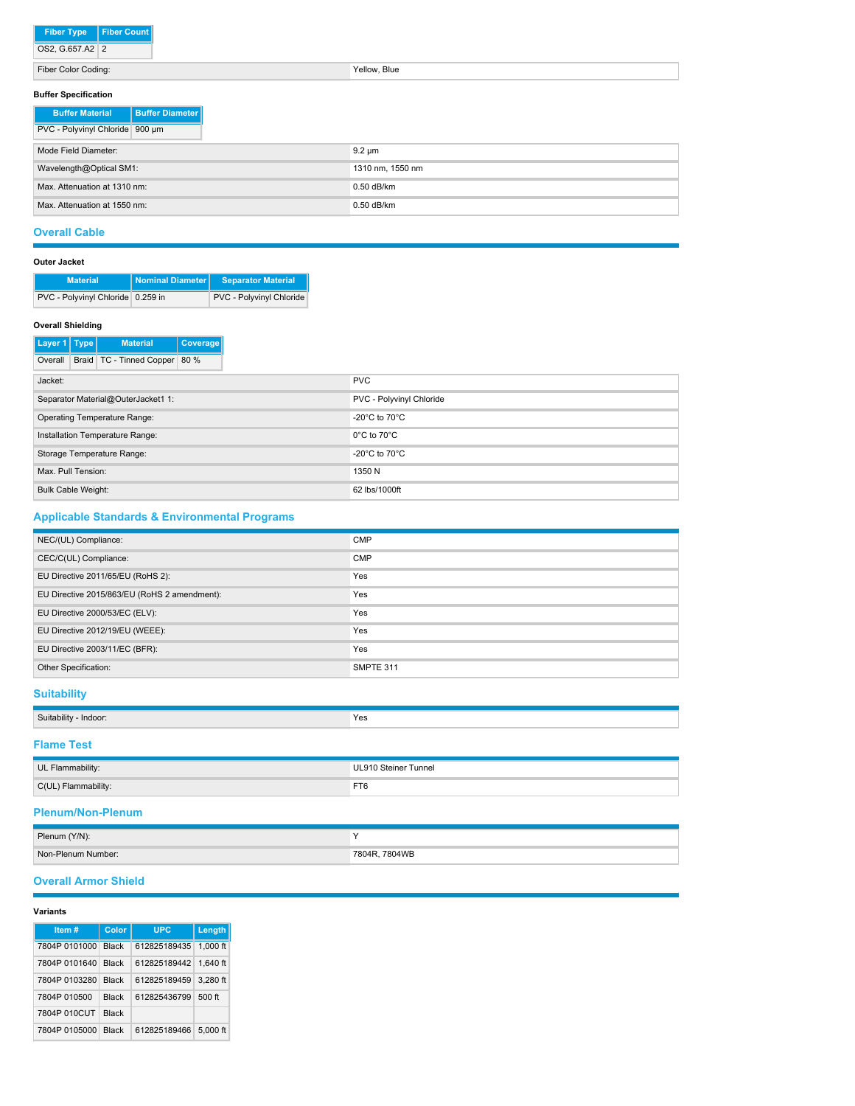| <b>Fiber Type</b> | l Fiber Count |
|-------------------|---------------|
| OS2, G.657.A2 2   |               |

Fiber Color Coding: Yellow, Blue

## **Buffer Specification**

| <b>DUITEL OPPULLICATION</b>     |                          |  |
|---------------------------------|--------------------------|--|
| <b>Buffer Material</b>          | <b>Buffer Diameter I</b> |  |
| PVC - Polyvinyl Chloride 900 um |                          |  |
| Mode Field Diameter:            |                          |  |
| Wavelength@Optical SM1:         |                          |  |
| Max. Attenuation at 1310 nm:    |                          |  |
| Max. Attenuation at 1550 nm:    |                          |  |

## **Overall Cable**

| <b>Outer Jacket</b> |                                   |                  |                           |  |  |  |
|---------------------|-----------------------------------|------------------|---------------------------|--|--|--|
|                     | <b>Material</b>                   | Nominal Diameter | <b>Separator Material</b> |  |  |  |
|                     | PVC - Polyvinyl Chloride 0.259 in |                  | PVC - Polyvinyl Chloride  |  |  |  |

#### **Overall Shielding**

| Layer 1   Type            | <b>Material</b>                    | Coverage |
|---------------------------|------------------------------------|----------|
| Overall                   | Braid TC - Tinned Copper 80 %      |          |
| Jacket:                   |                                    |          |
|                           | Separator Material@OuterJacket1 1: |          |
|                           | Operating Temperature Range:       |          |
|                           | Installation Temperature Range:    |          |
|                           | Storage Temperature Range:         |          |
| Max. Pull Tension:        |                                    |          |
| <b>Bulk Cable Weight:</b> |                                    |          |

## **Applicable Standards & Environmental Programs**

| NEC/(UL) Compliance:                         | <b>CMP</b> |
|----------------------------------------------|------------|
|                                              |            |
| CEC/C(UL) Compliance:                        | <b>CMP</b> |
| EU Directive 2011/65/EU (RoHS 2):            | Yes        |
| EU Directive 2015/863/EU (RoHS 2 amendment): | Yes        |
| EU Directive 2000/53/EC (ELV):               | Yes        |
| EU Directive 2012/19/EU (WEEE):              | Yes        |
| EU Directive 2003/11/EC (BFR):               | Yes        |
| Other Specification:                         | SMPTE 311  |

## **Suitability**

| Suitability - Indoor: | Yes                  |
|-----------------------|----------------------|
| <b>Flame Test</b>     |                      |
| UL Flammability:      | UL910 Steiner Tunnel |
| C(UL) Flammability:   | FT6                  |

## **Plenum/Non-Plenum**

| Plenum (Y/N):      |               |
|--------------------|---------------|
| Non-Plenum Number: | 7804R. 7804WB |

#### **Overall Armor Shield**

#### **Variants**

| Item#               | Color        | <b>UPC</b>            | Length   |
|---------------------|--------------|-----------------------|----------|
| 7804P 0101000       | <b>Black</b> | 612825189435 1.000 ft |          |
| 7804P 0101640 Black |              | 612825189442 1.640 ft |          |
| 7804P 0103280       | <b>Black</b> | 612825189459          | 3.280 ft |
| 7804P 010500        | <b>Black</b> | 612825436799          | $500$ ft |
| 7804P 010CUT        | <b>Black</b> |                       |          |
| 7804P 0105000       | <b>Black</b> | 612825189466          | 5.000 ft |